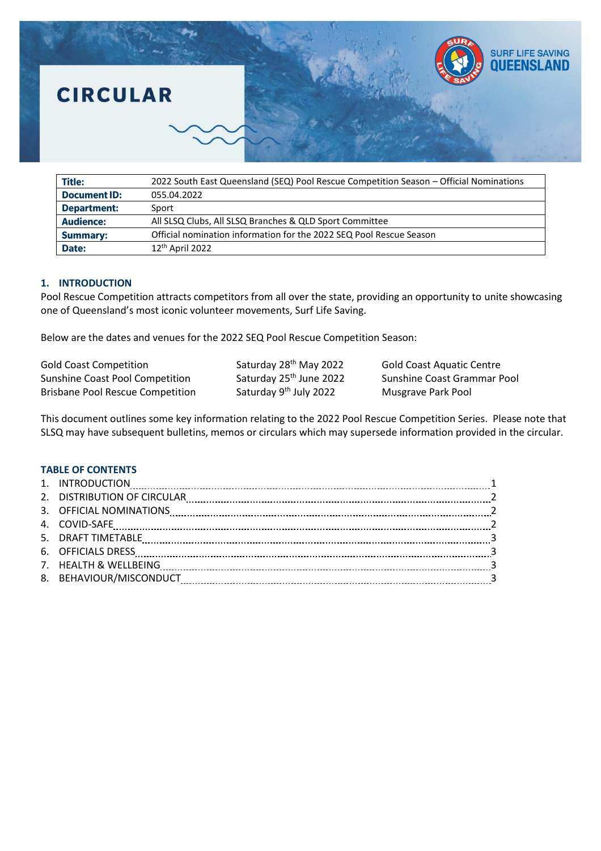

| <b>Title:</b>       | 2022 South East Queensland (SEQ) Pool Rescue Competition Season – Official Nominations |
|---------------------|----------------------------------------------------------------------------------------|
| <b>Document ID:</b> | 055.04.2022                                                                            |
| Department:         | Sport                                                                                  |
| <b>Audience:</b>    | All SLSQ Clubs, All SLSQ Branches & QLD Sport Committee                                |
| <b>Summary:</b>     | Official nomination information for the 2022 SEQ Pool Rescue Season                    |
| Date:               | $12th$ April 2022                                                                      |

### **1. INTRODUCTION**

Pool Rescue Competition attracts competitors from all over the state, providing an opportunity to unite showcasing one of Queensland's most iconic volunteer movements, Surf Life Saving.

Below are the dates and venues for the 2022 SEQ Pool Rescue Competition Season:

| <b>Gold Coast Competition</b>           | Saturday 28 <sup>th</sup> May 2022  | <b>Gold Coast Aquatic Centre</b> |
|-----------------------------------------|-------------------------------------|----------------------------------|
| Sunshine Coast Pool Competition         | Saturday 25 <sup>th</sup> June 2022 | Sunshine Coast Grammar Pool      |
| <b>Brisbane Pool Rescue Competition</b> | Saturday 9 <sup>th</sup> July 2022  | Musgrave Park Pool               |

This document outlines some key information relating to the 2022 Pool Rescue Competition Series. Please note that SLSQ may have subsequent bulletins, memos or circulars which may supersede information provided in the circular.

# **TABLE OF CONTENTS**

| 2. DISTRIBUTION OF CIRCULAR                                                                                                                                                                                                    |  |
|--------------------------------------------------------------------------------------------------------------------------------------------------------------------------------------------------------------------------------|--|
|                                                                                                                                                                                                                                |  |
| 4. COVID-SAFE                                                                                                                                                                                                                  |  |
| 5. DRAFT TIMETABLE                                                                                                                                                                                                             |  |
| 6. OFFICIALS DRESS Entertainment and the contract of the contract of the contract of the contract of the contract of the contract of the contract of the contract of the contract of the contract of the contract of the contr |  |
| 7. HEALTH & WELLBEING                                                                                                                                                                                                          |  |
|                                                                                                                                                                                                                                |  |
|                                                                                                                                                                                                                                |  |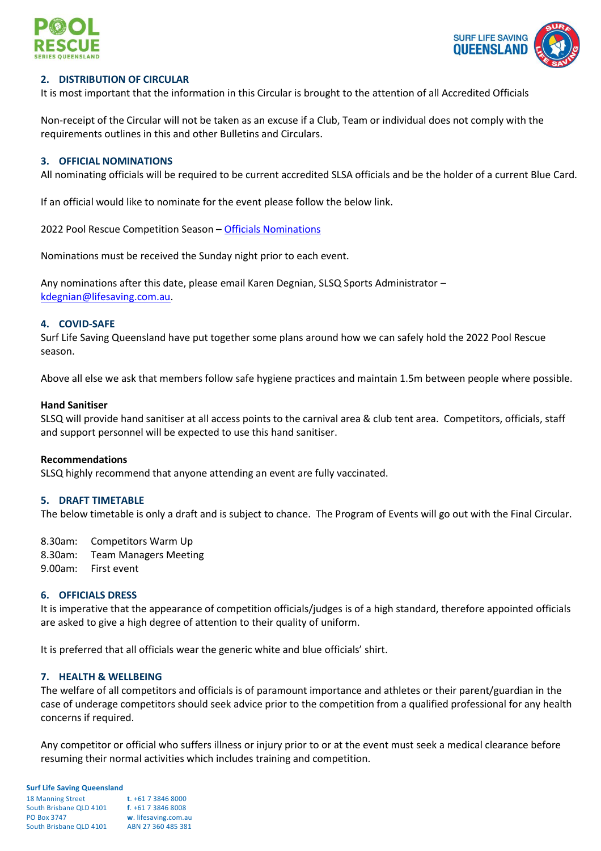



# **2. DISTRIBUTION OF CIRCULAR**

It is most important that the information in this Circular is brought to the attention of all Accredited Officials

Non-receipt of the Circular will not be taken as an excuse if a Club, Team or individual does not comply with the requirements outlines in this and other Bulletins and Circulars.

### **3. OFFICIAL NOMINATIONS**

All nominating officials will be required to be current accredited SLSA officials and be the holder of a current Blue Card.

If an official would like to nominate for the event please follow the below link.

2022 Pool Rescue Competition Season – [Officials Nominations](https://www.surveymonkey.com/r/GKVJYYJ)

Nominations must be received the Sunday night prior to each event.

Any nominations after this date, please email Karen Degnian, SLSQ Sports Administrator – [kdegnian@lifesaving.com.au.](mailto:kdegnian@lifesaving.com.au)

#### **4. COVID-SAFE**

Surf Life Saving Queensland have put together some plans around how we can safely hold the 2022 Pool Rescue season.

Above all else we ask that members follow safe hygiene practices and maintain 1.5m between people where possible.

#### **Hand Sanitiser**

SLSQ will provide hand sanitiser at all access points to the carnival area & club tent area. Competitors, officials, staff and support personnel will be expected to use this hand sanitiser.

#### **Recommendations**

SLSQ highly recommend that anyone attending an event are fully vaccinated.

#### **5. DRAFT TIMETABLE**

The below timetable is only a draft and is subject to chance. The Program of Events will go out with the Final Circular.

8.30am: Competitors Warm Up 8.30am: Team Managers Meeting

9.00am: First event

#### **6. OFFICIALS DRESS**

It is imperative that the appearance of competition officials/judges is of a high standard, therefore appointed officials are asked to give a high degree of attention to their quality of uniform.

It is preferred that all officials wear the generic white and blue officials' shirt.

#### **7. HEALTH & WELLBEING**

The welfare of all competitors and officials is of paramount importance and athletes or their parent/guardian in the case of underage competitors should seek advice prior to the competition from a qualified professional for any health concerns if required.

Any competitor or official who suffers illness or injury prior to or at the event must seek a medical clearance before resuming their normal activities which includes training and competition.

#### **Surf Life Saving Queensland**

| <b>18 Manning Street</b> | $t. +61738468000$    |
|--------------------------|----------------------|
| South Brisbane QLD 4101  | $f. +61738468008$    |
| <b>PO Box 3747</b>       | w. lifesaving.com.au |
| South Brisbane QLD 4101  | ABN 27 360 485 381   |